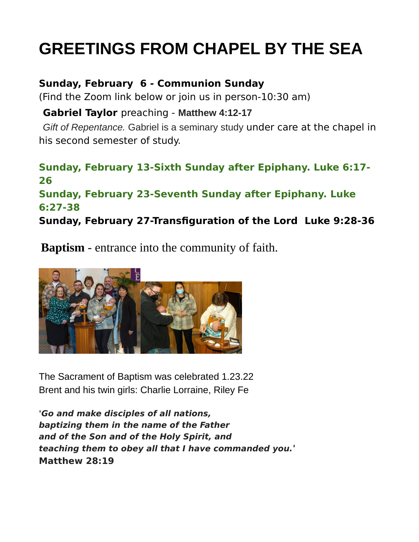## **GREETINGS FROM CHAPEL BY THE SEA**

## **Sunday, February 6 - Communion Sunday**

(Find the Zoom link below or join us in person-10:30 am)

## **Gabriel Taylor** preaching - **Matthew 4:12-17**

*Gift of Repentance.* Gabriel is a seminary study under care at the chapel in his second semester of study.

## **Sunday, February 13-Sixth Sunday after Epiphany. Luke 6:17- 26 Sunday, February 23-Seventh Sunday after Epiphany. Luke**

**6:27-38**

**Sunday, February 27-Transfiguration of the Lord Luke 9:28-36**

**Baptism** - entrance into the community of faith.



The Sacrament of Baptism was celebrated 1.23.22 Brent and his twin girls: Charlie Lorraine, Riley Fe

**'Go and make disciples of all nations, baptizing them in the name of the Father and of the Son and of the Holy Spirit, and teaching them to obey all that I have commanded you.' Matthew 28:19**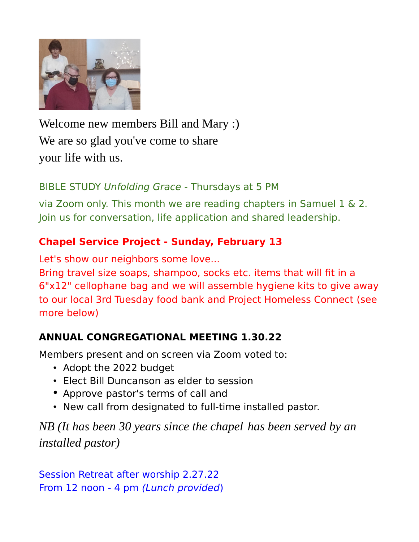

Welcome new members Bill and Mary :) We are so glad you've come to share your life with us.

## BIBLE STUDY Unfolding Grace - Thursdays at 5 PM

via Zoom only. This month we are reading chapters in Samuel 1 & 2. Join us for conversation, life application and shared leadership.

## **Chapel Service Project - Sunday, February 13**

Let's show our neighbors some love...

Bring travel size soaps, shampoo, socks etc. items that will fit in a 6"x12" cellophane bag and we will assemble hygiene kits to give away to our local 3rd Tuesday food bank and Project Homeless Connect (see more below)

## **ANNUAL CONGREGATIONAL MEETING 1.30.22**

Members present and on screen via Zoom voted to:

- Adopt the 2022 budget
- Elect Bill Duncanson as elder to session
- Approve pastor's terms of call and
- New call from designated to full-time installed pastor.

*NB (It has been 30 years since the chapel has been served by an installed pastor)*

Session Retreat after worship 2.27.22 From 12 noon - 4 pm (Lunch provided)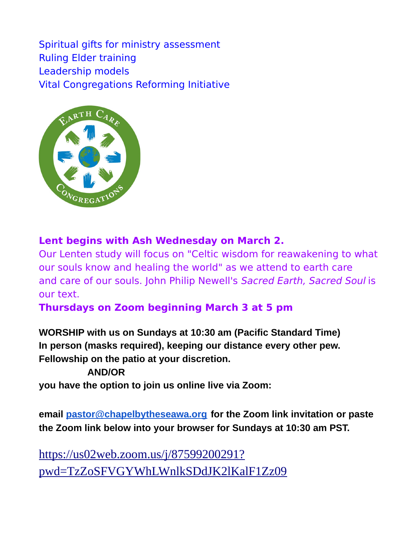Spiritual gifts for ministry assessment Ruling Elder training Leadership models Vital Congregations Reforming Initiative



## **Lent begins with Ash Wednesday on March 2.**

Our Lenten study will focus on "Celtic wisdom for reawakening to what our souls know and healing the world" as we attend to earth care and care of our souls. John Philip Newell's Sacred Earth, Sacred Soul is our text.

## **Thursdays on Zoom beginning March 3 at 5 pm**

**WORSHIP with us on Sundays at 10:30 am (Pacific Standard Time) In person (masks required), keeping our distance every other pew. Fellowship on the patio at your discretion.**

#### **AND/OR**

**you have the option to join us online live via Zoom:**

**email [pastor@chapelbytheseawa.org](mailto:pastor@chapelbytheseawa.org) for the Zoom link invitation or paste the Zoom link below into your browser for Sundays at 10:30 am PST.**

[https://us02web.zoom.us/j/87599200291?](https://us02web.zoom.us/j/87599200291?pwd=TzZoSFVGYWhLWnlkSDdJK2lKalF1Zz09) [pwd=TzZoSFVGYWhLWnlkSDdJK2lKalF1Zz09](https://us02web.zoom.us/j/87599200291?pwd=TzZoSFVGYWhLWnlkSDdJK2lKalF1Zz09)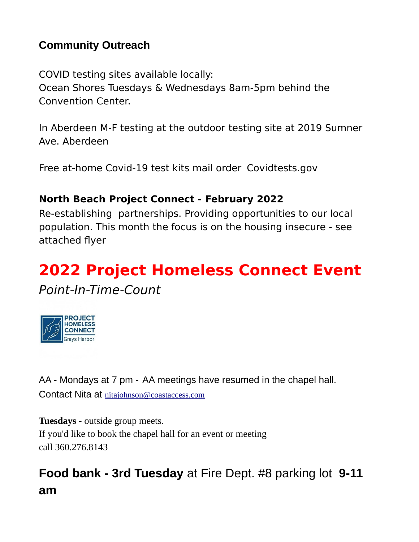## **Community Outreach**

COVID testing sites available locally: Ocean Shores Tuesdays & Wednesdays 8am-5pm behind the Convention Center.

In Aberdeen M-F testing at the outdoor testing site at 2019 Sumner Ave. Aberdeen

Free at-home Covid-19 test kits mail order Covidtests.gov

## **North Beach Project Connect - February 2022**

Re-establishing partnerships. Providing opportunities to our local population. This month the focus is on the housing insecure - see attached flyer

# **2022 Project Homeless Connect Event**

Point-In-Time-Count



AA - Mondays at 7 pm - AA meetings have resumed in the chapel hall. Contact Nita at [nitajohnson@coastaccess.com](mailto:nitajohnson@coastaccess.com)

**Tuesdays** - outside group meets. If you'd like to book the chapel hall for an event or meeting call 360.276.8143

## **Food bank - 3rd Tuesday** at Fire Dept. #8 parking lot **9-11 am**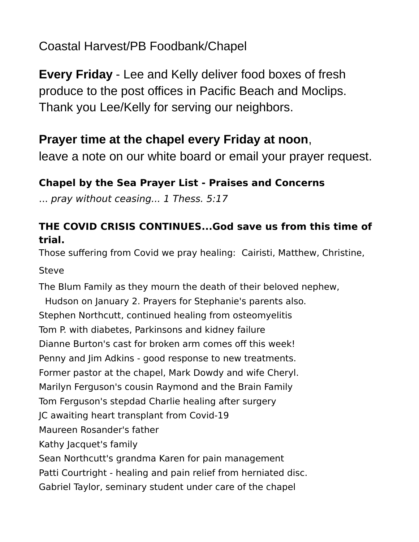Coastal Harvest/PB Foodbank/Chapel

**Every Friday** - Lee and Kelly deliver food boxes of fresh produce to the post offices in Pacific Beach and Moclips. Thank you Lee/Kelly for serving our neighbors.

## **Prayer time at the chapel every Friday at noon**,

leave a note on our white board or email your prayer request.

## **Chapel by the Sea Prayer List - Praises and Concerns**

... pray without ceasing... 1 Thess. 5:17

## **THE COVID CRISIS CONTINUES...God save us from this time of trial.**

Those suffering from Covid we pray healing: Cairisti, Matthew, Christine, **Steve** 

The Blum Family as they mourn the death of their beloved nephew, Hudson on January 2. Prayers for Stephanie's parents also. Stephen Northcutt, continued healing from osteomyelitis Tom P. with diabetes, Parkinsons and kidney failure Dianne Burton's cast for broken arm comes off this week! Penny and Jim Adkins - good response to new treatments. Former pastor at the chapel, Mark Dowdy and wife Cheryl. Marilyn Ferguson's cousin Raymond and the Brain Family Tom Ferguson's stepdad Charlie healing after surgery JC awaiting heart transplant from Covid-19 Maureen Rosander's father Kathy Jacquet's family Sean Northcutt's grandma Karen for pain management Patti Courtright - healing and pain relief from herniated disc. Gabriel Taylor, seminary student under care of the chapel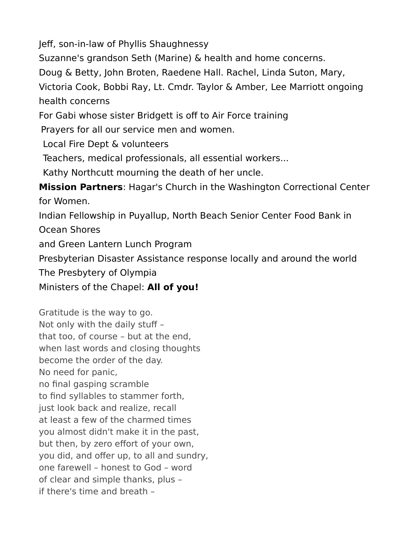Jeff, son-in-law of Phyllis Shaughnessy

Suzanne's grandson Seth (Marine) & health and home concerns.

Doug & Betty, John Broten, Raedene Hall. Rachel, Linda Suton, Mary,

Victoria Cook, Bobbi Ray, Lt. Cmdr. Taylor & Amber, Lee Marriott ongoing health concerns

For Gabi whose sister Bridgett is off to Air Force training

Prayers for all our service men and women.

Local Fire Dept & volunteers

Teachers, medical professionals, all essential workers...

Kathy Northcutt mourning the death of her uncle.

**Mission Partners**: Hagar's Church in the Washington Correctional Center for Women.

Indian Fellowship in Puyallup, North Beach Senior Center Food Bank in Ocean Shores

and Green Lantern Lunch Program

Presbyterian Disaster Assistance response locally and around the world

The Presbytery of Olympia

Ministers of the Chapel: **All of you!**

Gratitude is the way to go. Not only with the daily stuff – that too, of course – but at the end, when last words and closing thoughts become the order of the day. No need for panic, no final gasping scramble to find syllables to stammer forth, just look back and realize, recall at least a few of the charmed times you almost didn't make it in the past, but then, by zero effort of your own, you did, and offer up, to all and sundry, one farewell – honest to God – word of clear and simple thanks, plus – if there's time and breath –